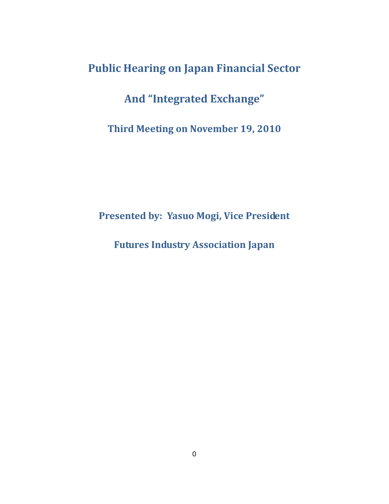## **Public Hearing on Japan Financial Sector**

## **And "Integrated Exchange"**

**Third Meeting on November 19, 2010**

## **Presented by: Yasuo Mogi, Vice President**

**Futures Industry Association Japan**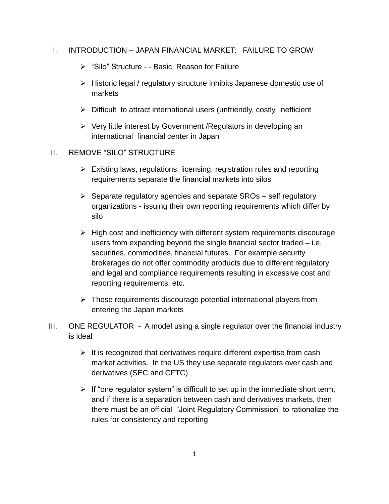- I. INTRODUCTION JAPAN FINANCIAL MARKET: FAILURE TO GROW
	- ➢ "Silo" Structure - Basic Reason for Failure
	- ➢ Historic legal / regulatory structure inhibits Japanese domestic use of markets
	- ➢ Difficult to attract international users (unfriendly, costly, inefficient
	- ➢ Very little interest by Government /Regulators in developing an international financial center in Japan
- II. REMOVE "SILO" STRUCTURE
	- ➢ Existing laws, regulations, licensing, registration rules and reporting requirements separate the financial markets into silos
	- $\triangleright$  Separate regulatory agencies and separate SROs self regulatory organizations - issuing their own reporting requirements which differ by silo
	- ➢ High cost and inefficiency with different system requirements discourage users from expanding beyond the single financial sector traded – i.e. securities, commodities, financial futures. For example security brokerages do not offer commodity products due to different regulatory and legal and compliance requirements resulting in excessive cost and reporting requirements, etc.
	- $\triangleright$  These requirements discourage potential international players from entering the Japan markets
- III. ONE REGULATOR A model using a single regulator over the financial industry is ideal
	- $\triangleright$  It is recognized that derivatives require different expertise from cash market activities. In the US they use separate regulators over cash and derivatives (SEC and CFTC)
	- $\triangleright$  If "one regulator system" is difficult to set up in the immediate short term, and if there is a separation between cash and derivatives markets, then there must be an official "Joint Regulatory Commission" to rationalize the rules for consistency and reporting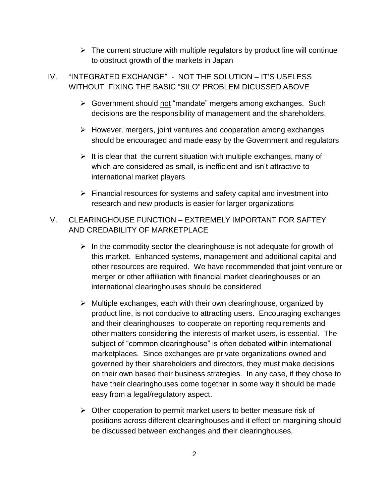- $\triangleright$  The current structure with multiple regulators by product line will continue to obstruct growth of the markets in Japan
- IV. "INTEGRATED EXCHANGE" NOT THE SOLUTION IT'S USELESS WITHOUT FIXING THE BASIC "SILO" PROBLEM DICUSSED ABOVE
	- ➢ Government should not "mandate" mergers among exchanges. Such decisions are the responsibility of management and the shareholders.
	- ➢ However, mergers, joint ventures and cooperation among exchanges should be encouraged and made easy by the Government and regulators
	- $\triangleright$  It is clear that the current situation with multiple exchanges, many of which are considered as small, is inefficient and isn't attractive to international market players
	- ➢ Financial resources for systems and safety capital and investment into research and new products is easier for larger organizations
- V. CLEARINGHOUSE FUNCTION EXTREMELY IMPORTANT FOR SAFTEY AND CREDABILITY OF MARKETPLACE
	- $\triangleright$  In the commodity sector the clearinghouse is not adequate for growth of this market. Enhanced systems, management and additional capital and other resources are required. We have recommended that joint venture or merger or other affiliation with financial market clearinghouses or an international clearinghouses should be considered
	- $\triangleright$  Multiple exchanges, each with their own clearinghouse, organized by product line, is not conducive to attracting users. Encouraging exchanges and their clearinghouses to cooperate on reporting requirements and other matters considering the interests of market users, is essential. The subject of "common clearinghouse" is often debated within international marketplaces. Since exchanges are private organizations owned and governed by their shareholders and directors, they must make decisions on their own based their business strategies. In any case, if they chose to have their clearinghouses come together in some way it should be made easy from a legal/regulatory aspect.
	- ➢ Other cooperation to permit market users to better measure risk of positions across different clearinghouses and it effect on margining should be discussed between exchanges and their clearinghouses.